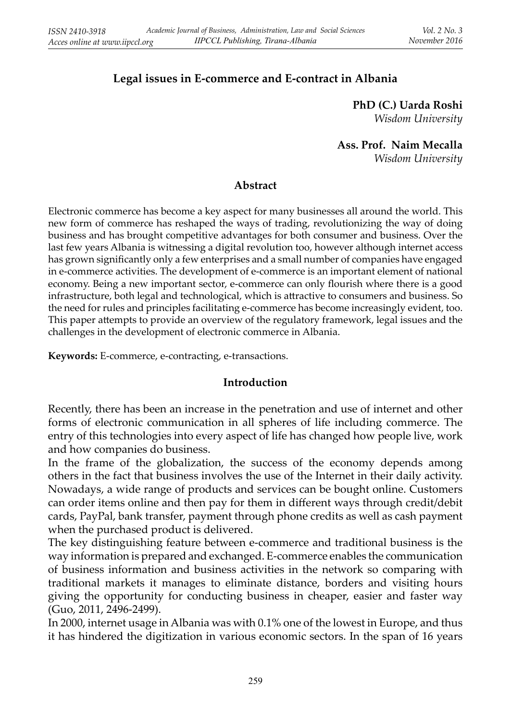## **Legal issues in E-commerce and E-contract in Albania**

**PhD (C.) Uarda Roshi***Wisdom University*

**Ass. Prof. Naim Mecalla**

 *Wisdom University*

#### **Abstract**

Electronic commerce has become a key aspect for many businesses all around the world. This new form of commerce has reshaped the ways of trading, revolutionizing the way of doing business and has brought competitive advantages for both consumer and business. Over the last few years Albania is witnessing a digital revolution too, however although internet access has grown significantly only a few enterprises and a small number of companies have engaged in e-commerce activities. The development of e-commerce is an important element of national economy. Being a new important sector, e-commerce can only flourish where there is a good infrastructure, both legal and technological, which is attractive to consumers and business. So the need for rules and principles facilitating e-commerce has become increasingly evident, too. This paper attempts to provide an overview of the regulatory framework, legal issues and the challenges in the development of electronic commerce in Albania.

**Keywords:** E-commerce, e-contracting, e-transactions.

#### **Introduction**

Recently, there has been an increase in the penetration and use of internet and other forms of electronic communication in all spheres of life including commerce. The entry of this technologies into every aspect of life has changed how people live, work and how companies do business.

In the frame of the globalization, the success of the economy depends among others in the fact that business involves the use of the Internet in their daily activity. Nowadays, a wide range of products and services can be bought online. Customers can order items online and then pay for them in different ways through credit/debit cards, PayPal, bank transfer, payment through phone credits as well as cash payment when the purchased product is delivered.

The key distinguishing feature between e-commerce and traditional business is the way information is prepared and exchanged. E-commerce enables the communication of business information and business activities in the network so comparing with traditional markets it manages to eliminate distance, borders and visiting hours giving the opportunity for conducting business in cheaper, easier and faster way (Guo, 2011, 2496-2499).

In 2000, internet usage in Albania was with 0.1% one of the lowest in Europe, and thus it has hindered the digitization in various economic sectors. In the span of 16 years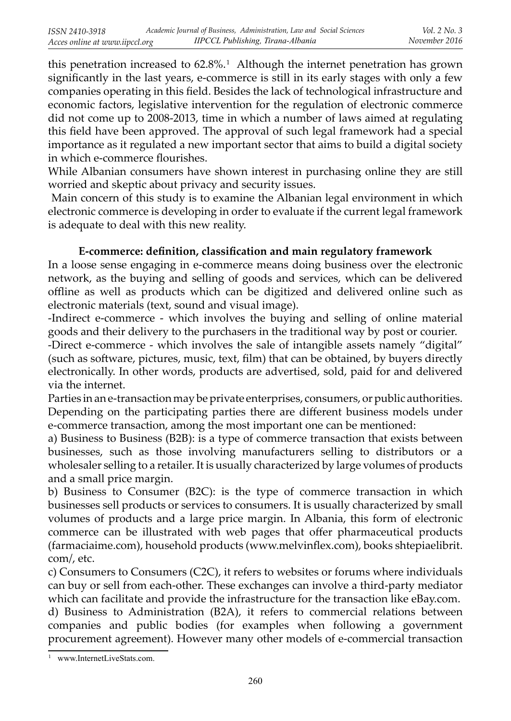this penetration increased to  $62.8\%$ .<sup>1</sup> Although the internet penetration has grown significantly in the last years, e-commerce is still in its early stages with only a few companies operating in this field. Besides the lack of technological infrastructure and economic factors, legislative intervention for the regulation of electronic commerce did not come up to 2008-2013, time in which a number of laws aimed at regulating this field have been approved. The approval of such legal framework had a special importance as it regulated a new important sector that aims to build a digital society in which e-commerce flourishes.

While Albanian consumers have shown interest in purchasing online they are still worried and skeptic about privacy and security issues.

 Main concern of this study is to examine the Albanian legal environment in which electronic commerce is developing in order to evaluate if the current legal framework is adequate to deal with this new reality.

### E-commerce: definition, classification and main regulatory framework

 In a loose sense engaging in e-commerce means doing business over the electronic network, as the buying and selling of goods and services, which can be delivered offline as well as products which can be digitized and delivered online such as electronic materials (text, sound and visual image).

-Indirect e-commerce - which involves the buying and selling of online material goods and their delivery to the purchasers in the traditional way by post or courier.

-Direct e-commerce - which involves the sale of intangible assets namely "digital" (such as software, pictures, music, text, film) that can be obtained, by buyers directly electronically. In other words, products are advertised, sold, paid for and delivered via the internet.

Parties in an e-transaction may be private enterprises, consumers, or public authorities. Depending on the participating parties there are different business models under e-commerce transaction, among the most important one can be mentioned:

a) Business to Business (B2B): is a type of commerce transaction that exists between businesses, such as those involving manufacturers selling to distributors or a wholesaler selling to a retailer. It is usually characterized by large volumes of products and a small price margin.

b) Business to Consumer (B2C): is the type of commerce transaction in which businesses sell products or services to consumers. It is usually characterized by small volumes of products and a large price margin. In Albania, this form of electronic commerce can be illustrated with web pages that offer pharmaceutical products (farmaciaime.com), household products (www.melvinflex.com), books shtepiaelibrit. com/, etc.

c) Consumers to Consumers (C2C), it refers to websites or forums where individuals can buy or sell from each-other. These exchanges can involve a third-party mediator which can facilitate and provide the infrastructure for the transaction like eBay.com. d) Business to Administration (B2A), it refers to commercial relations between companies and public bodies (for examples when following a government procurement agreement). However many other models of e-commercial transaction

<sup>1</sup> www.InternetLiveStats.com.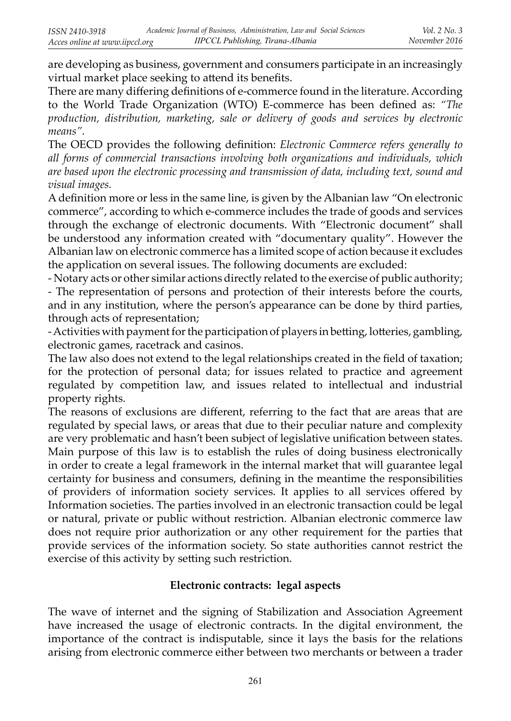are developing as business, government and consumers participate in an increasingly virtual market place seeking to attend its benefits.

There are many differing definitions of e-commerce found in the literature. According to the World Trade Organization (WTO) E-commerce has been defined as: "The *production, distribution, marketing, sale or delivery of goods and services by electronic means".*

The OECD provides the following definition: *Electronic Commerce refers generally to all forms of commercial transactions involving both organizations and individuals, which are based upon the electronic processing and transmission of data, including text, sound and visual images.* 

A definition more or less in the same line, is given by the Albanian law "On electronic commerce", according to which e-commerce includes the trade of goods and services through the exchange of electronic documents. With "Electronic document" shall be understood any information created with "documentary quality". However the Albanian law on electronic commerce has a limited scope of action because it excludes the application on several issues. The following documents are excluded:

- Notary acts or other similar actions directly related to the exercise of public authority;

- The representation of persons and protection of their interests before the courts, and in any institution, where the person's appearance can be done by third parties, through acts of representation;

- Activities with payment for the participation of players in betting, lotteries, gambling, electronic games, racetrack and casinos.

The law also does not extend to the legal relationships created in the field of taxation; for the protection of personal data; for issues related to practice and agreement regulated by competition law, and issues related to intellectual and industrial property rights.

The reasons of exclusions are different, referring to the fact that are areas that are regulated by special laws, or areas that due to their peculiar nature and complexity are very problematic and hasn't been subject of legislative unification between states. Main purpose of this law is to establish the rules of doing business electronically in order to create a legal framework in the internal market that will guarantee legal certainty for business and consumers, defining in the meantime the responsibilities of providers of information society services. It applies to all services offered by Information societies. The parties involved in an electronic transaction could be legal or natural, private or public without restriction. Albanian electronic commerce law does not require prior authorization or any other requirement for the parties that provide services of the information society. So state authorities cannot restrict the exercise of this activity by setting such restriction.

### **Electronic contracts: legal aspects**

The wave of internet and the signing of Stabilization and Association Agreement have increased the usage of electronic contracts. In the digital environment, the importance of the contract is indisputable, since it lays the basis for the relations arising from electronic commerce either between two merchants or between a trader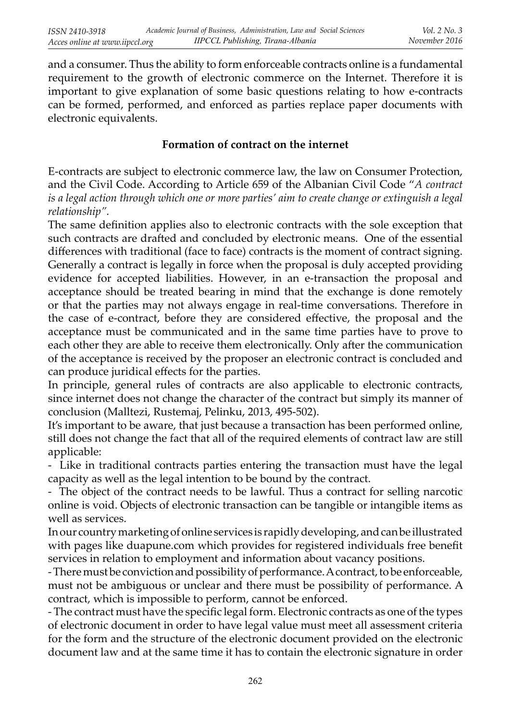and a consumer. Thus the ability to form enforceable contracts online is a fundamental requirement to the growth of electronic commerce on the Internet. Therefore it is important to give explanation of some basic questions relating to how e-contracts can be formed, performed, and enforced as parties replace paper documents with electronic equivalents.

#### **Formation of contract on the internet**

E-contracts are subject to electronic commerce law, the law on Consumer Protection, and the Civil Code. According to Article 659 of the Albanian Civil Code "*A contract*  is a legal action through which one or more parties' aim to create change or extinguish a legal *relationship".*

The same definition applies also to electronic contracts with the sole exception that such contracts are drafted and concluded by electronic means. One of the essential differences with traditional (face to face) contracts is the moment of contract signing. Generally a contract is legally in force when the proposal is duly accepted providing evidence for accepted liabilities. However, in an e-transaction the proposal and acceptance should be treated bearing in mind that the exchange is done remotely or that the parties may not always engage in real-time conversations. Therefore in the case of e-contract, before they are considered effective, the proposal and the acceptance must be communicated and in the same time parties have to prove to each other they are able to receive them electronically. Only after the communication of the acceptance is received by the proposer an electronic contract is concluded and can produce juridical effects for the parties.

In principle, general rules of contracts are also applicable to electronic contracts, since internet does not change the character of the contract but simply its manner of conclusion (Malltezi, Rustemaj, Pelinku, 2013, 495-502).

It's important to be aware, that just because a transaction has been performed online, still does not change the fact that all of the required elements of contract law are still applicable:

- Like in traditional contracts parties entering the transaction must have the legal capacity as well as the legal intention to be bound by the contract.

- The object of the contract needs to be lawful. Thus a contract for selling narcotic online is void. Objects of electronic transaction can be tangible or intangible items as well as services.

In our country marketing of online services is rapidly developing, and can be illustrated with pages like duapune.com which provides for registered individuals free benefit services in relation to employment and information about vacancy positions.

- There must be conviction and possibility of performance. A contract, to be enforceable, must not be ambiguous or unclear and there must be possibility of performance. A contract, which is impossible to perform, cannot be enforced.

- The contract must have the specific legal form. Electronic contracts as one of the types of electronic document in order to have legal value must meet all assessment criteria for the form and the structure of the electronic document provided on the electronic document law and at the same time it has to contain the electronic signature in order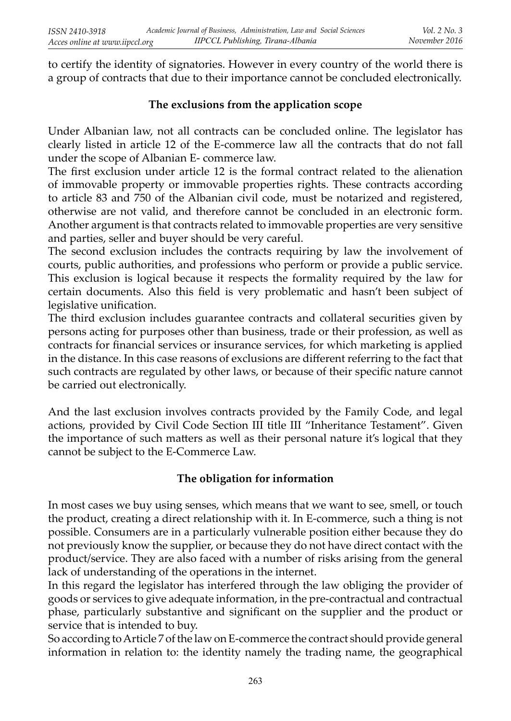to certify the identity of signatories. However in every country of the world there is a group of contracts that due to their importance cannot be concluded electronically.

## **The exclusions from the application scope**

Under Albanian law, not all contracts can be concluded online. The legislator has clearly listed in article 12 of the E-commerce law all the contracts that do not fall under the scope of Albanian E- commerce law.

The first exclusion under article 12 is the formal contract related to the alienation of immovable property or immovable properties rights. These contracts according to article 83 and 750 of the Albanian civil code, must be notarized and registered, otherwise are not valid, and therefore cannot be concluded in an electronic form. Another argument is that contracts related to immovable properties are very sensitive and parties, seller and buyer should be very careful.

The second exclusion includes the contracts requiring by law the involvement of courts, public authorities, and professions who perform or provide a public service. This exclusion is logical because it respects the formality required by the law for certain documents. Also this field is very problematic and hasn't been subject of legislative unification.

The third exclusion includes guarantee contracts and collateral securities given by persons acting for purposes other than business, trade or their profession, as well as contracts for financial services or insurance services, for which marketing is applied in the distance. In this case reasons of exclusions are different referring to the fact that such contracts are regulated by other laws, or because of their specific nature cannot be carried out electronically.

And the last exclusion involves contracts provided by the Family Code, and legal actions, provided by Civil Code Section III title III "Inheritance Testament". Given the importance of such matters as well as their personal nature it's logical that they cannot be subject to the E-Commerce Law.

# **The obligation for information**

In most cases we buy using senses, which means that we want to see, smell, or touch the product, creating a direct relationship with it. In E-commerce, such a thing is not possible. Consumers are in a particularly vulnerable position either because they do not previously know the supplier, or because they do not have direct contact with the product/service. They are also faced with a number of risks arising from the general lack of understanding of the operations in the internet.

In this regard the legislator has interfered through the law obliging the provider of goods or services to give adequate information, in the pre-contractual and contractual phase, particularly substantive and significant on the supplier and the product or service that is intended to buy.

So according to Article 7 of the law on E-commerce the contract should provide general information in relation to: the identity namely the trading name, the geographical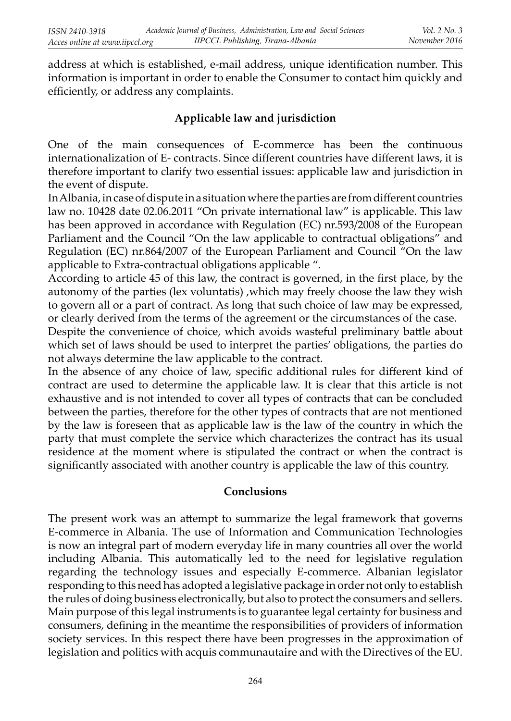address at which is established, e-mail address, unique identification number. This information is important in order to enable the Consumer to contact him quickly and efficiently, or address any complaints.

## **Applicable law and jurisdiction**

One of the main consequences of E-commerce has been the continuous internationalization of E- contracts. Since different countries have different laws, it is therefore important to clarify two essential issues: applicable law and jurisdiction in the event of dispute.

In Albania, in case of dispute in a situation where the parties are from different countries law no. 10428 date 02.06.2011 "On private international law" is applicable. This law has been approved in accordance with Regulation (EC) nr.593/2008 of the European Parliament and the Council "On the law applicable to contractual obligations" and Regulation (EC) nr.864/2007 of the European Parliament and Council "On the law applicable to Extra-contractual obligations applicable ".

According to article 45 of this law, the contract is governed, in the first place, by the autonomy of the parties (lex voluntatis) ,which may freely choose the law they wish to govern all or a part of contract. As long that such choice of law may be expressed, or clearly derived from the terms of the agreement or the circumstances of the case.

Despite the convenience of choice, which avoids wasteful preliminary battle about which set of laws should be used to interpret the parties' obligations, the parties do not always determine the law applicable to the contract.

In the absence of any choice of law, specific additional rules for different kind of contract are used to determine the applicable law. It is clear that this article is not exhaustive and is not intended to cover all types of contracts that can be concluded between the parties, therefore for the other types of contracts that are not mentioned by the law is foreseen that as applicable law is the law of the country in which the party that must complete the service which characterizes the contract has its usual residence at the moment where is stipulated the contract or when the contract is significantly associated with another country is applicable the law of this country.

### **Conclusions**

The present work was an attempt to summarize the legal framework that governs E-commerce in Albania. The use of Information and Communication Technologies is now an integral part of modern everyday life in many countries all over the world including Albania. This automatically led to the need for legislative regulation regarding the technology issues and especially E-commerce. Albanian legislator responding to this need has adopted a legislative package in order not only to establish the rules of doing business electronically, but also to protect the consumers and sellers. Main purpose of this legal instruments is to guarantee legal certainty for business and consumers, defining in the meantime the responsibilities of providers of information society services. In this respect there have been progresses in the approximation of legislation and politics with acquis communautaire and with the Directives of the EU.